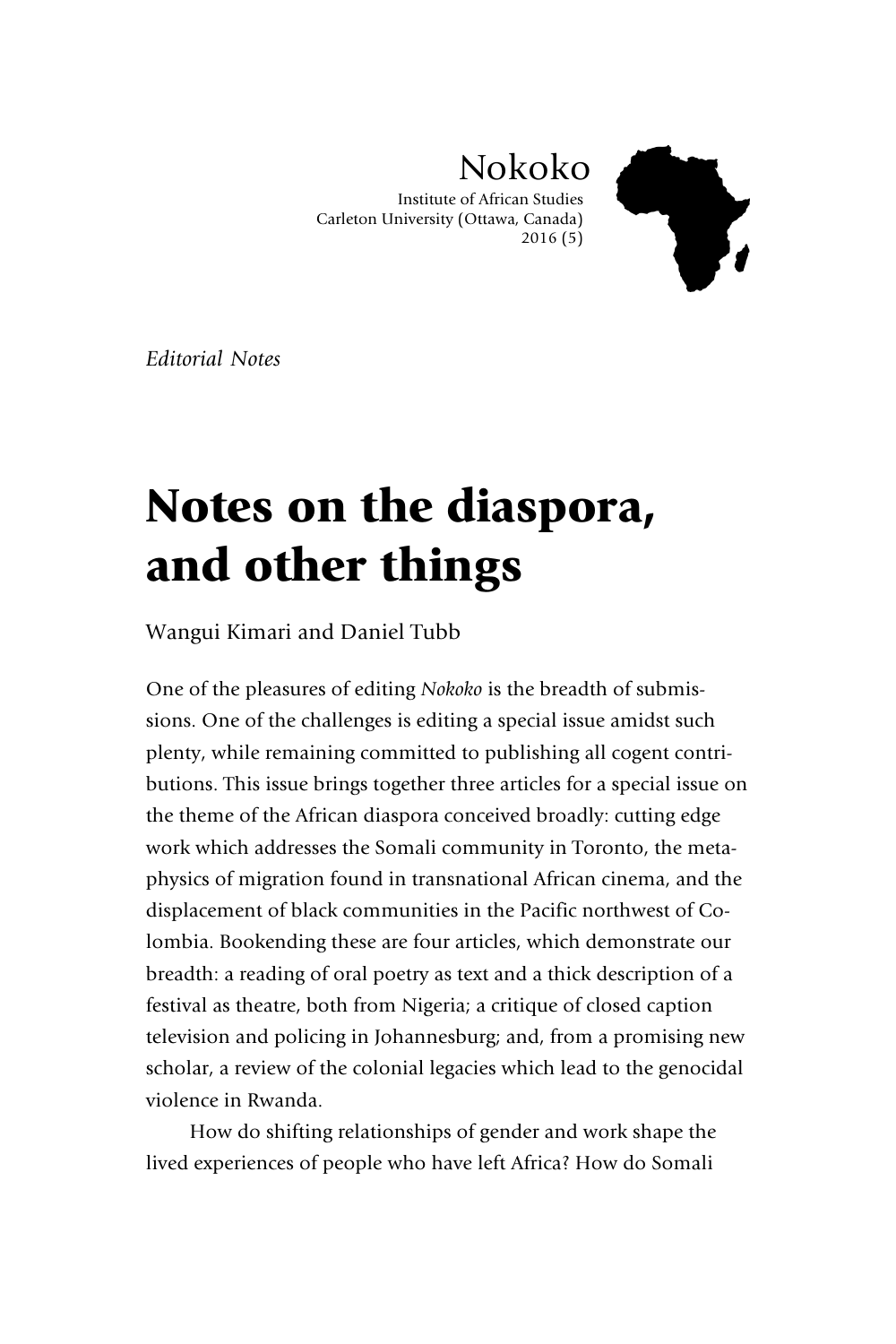

Nokoko

Institute of African Studies Carleton University (Ottawa, Canada) 2016 (5)

*Editorial Notes*

## Notes on the diaspora, and other things

Wangui Kimari and Daniel Tubb

One of the pleasures of editing *Nokoko* is the breadth of submissions. One of the challenges is editing a special issue amidst such plenty, while remaining committed to publishing all cogent contributions. This issue brings together three articles for a special issue on the theme of the African diaspora conceived broadly: cutting edge work which addresses the Somali community in Toronto, the metaphysics of migration found in transnational African cinema, and the displacement of black communities in the Pacific northwest of Colombia. Bookending these are four articles, which demonstrate our breadth: a reading of oral poetry as text and a thick description of a festival as theatre, both from Nigeria; a critique of closed caption television and policing in Johannesburg; and, from a promising new scholar, a review of the colonial legacies which lead to the genocidal violence in Rwanda.

How do shifting relationships of gender and work shape the lived experiences of people who have left Africa? How do Somali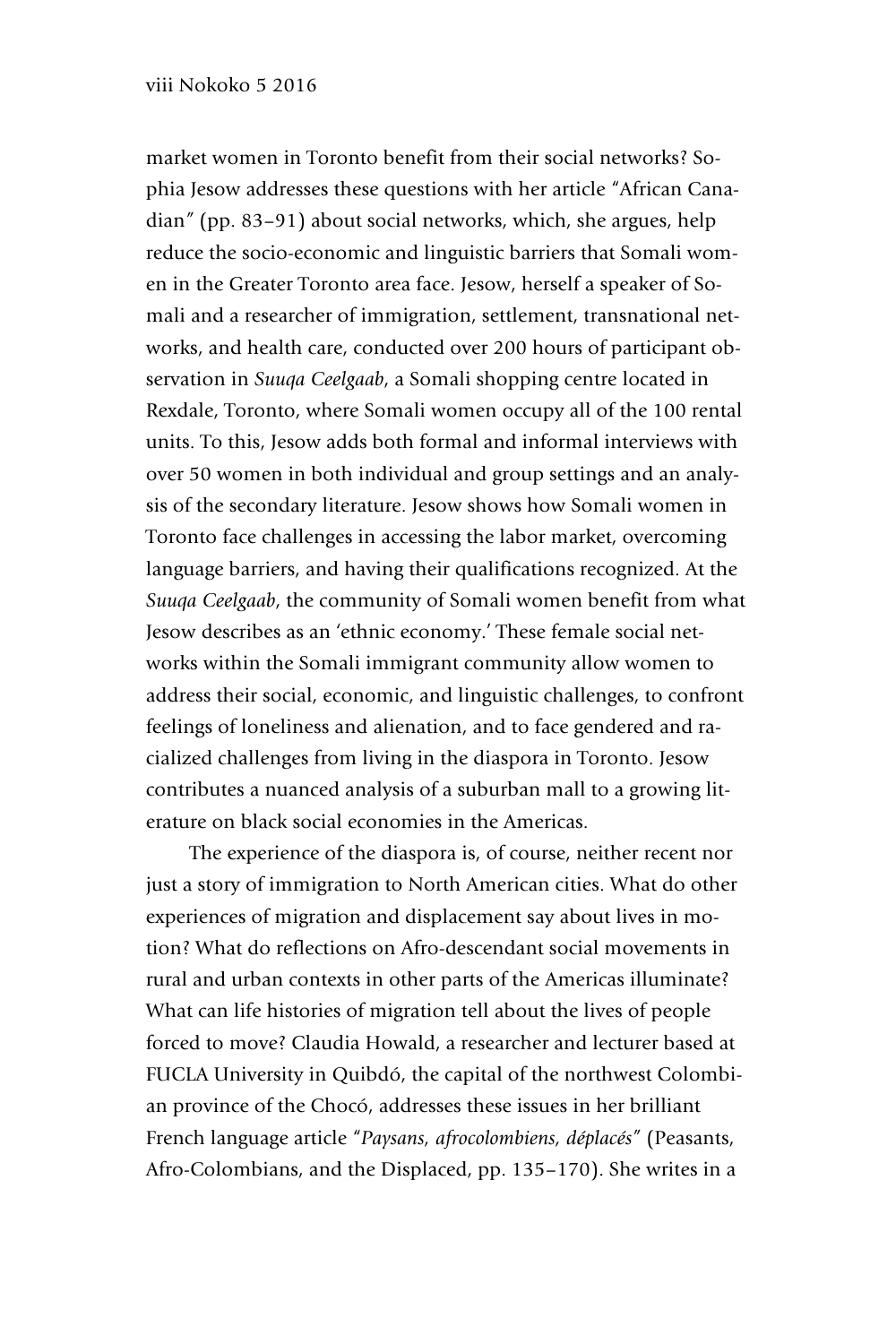## viii Nokoko 5 2016

market women in Toronto benefit from their social networks? Sophia Jesow addresses these questions with her article "African Canadian*"* (pp. 83–91) about social networks, which, she argues, help reduce the socio-economic and linguistic barriers that Somali women in the Greater Toronto area face. Jesow, herself a speaker of Somali and a researcher of immigration, settlement, transnational networks, and health care, conducted over 200 hours of participant observation in *Suuqa Ceelgaab*, a Somali shopping centre located in Rexdale, Toronto, where Somali women occupy all of the 100 rental units. To this, Jesow adds both formal and informal interviews with over 50 women in both individual and group settings and an analysis of the secondary literature. Jesow shows how Somali women in Toronto face challenges in accessing the labor market, overcoming language barriers, and having their qualifications recognized. At the *Suuqa Ceelgaab*, the community of Somali women benefit from what Jesow describes as an 'ethnic economy.' These female social networks within the Somali immigrant community allow women to address their social, economic, and linguistic challenges, to confront feelings of loneliness and alienation, and to face gendered and racialized challenges from living in the diaspora in Toronto. Jesow contributes a nuanced analysis of a suburban mall to a growing literature on black social economies in the Americas.

The experience of the diaspora is, of course, neither recent nor just a story of immigration to North American cities. What do other experiences of migration and displacement say about lives in motion? What do reflections on Afro-descendant social movements in rural and urban contexts in other parts of the Americas illuminate? What can life histories of migration tell about the lives of people forced to move? Claudia Howald, a researcher and lecturer based at FUCLA University in Quibdó, the capital of the northwest Colombian province of the Chocó, addresses these issues in her brilliant French language article "*Paysans, afrocolombiens, déplacés"* (Peasants, Afro-Colombians, and the Displaced, pp. 135–170). She writes in a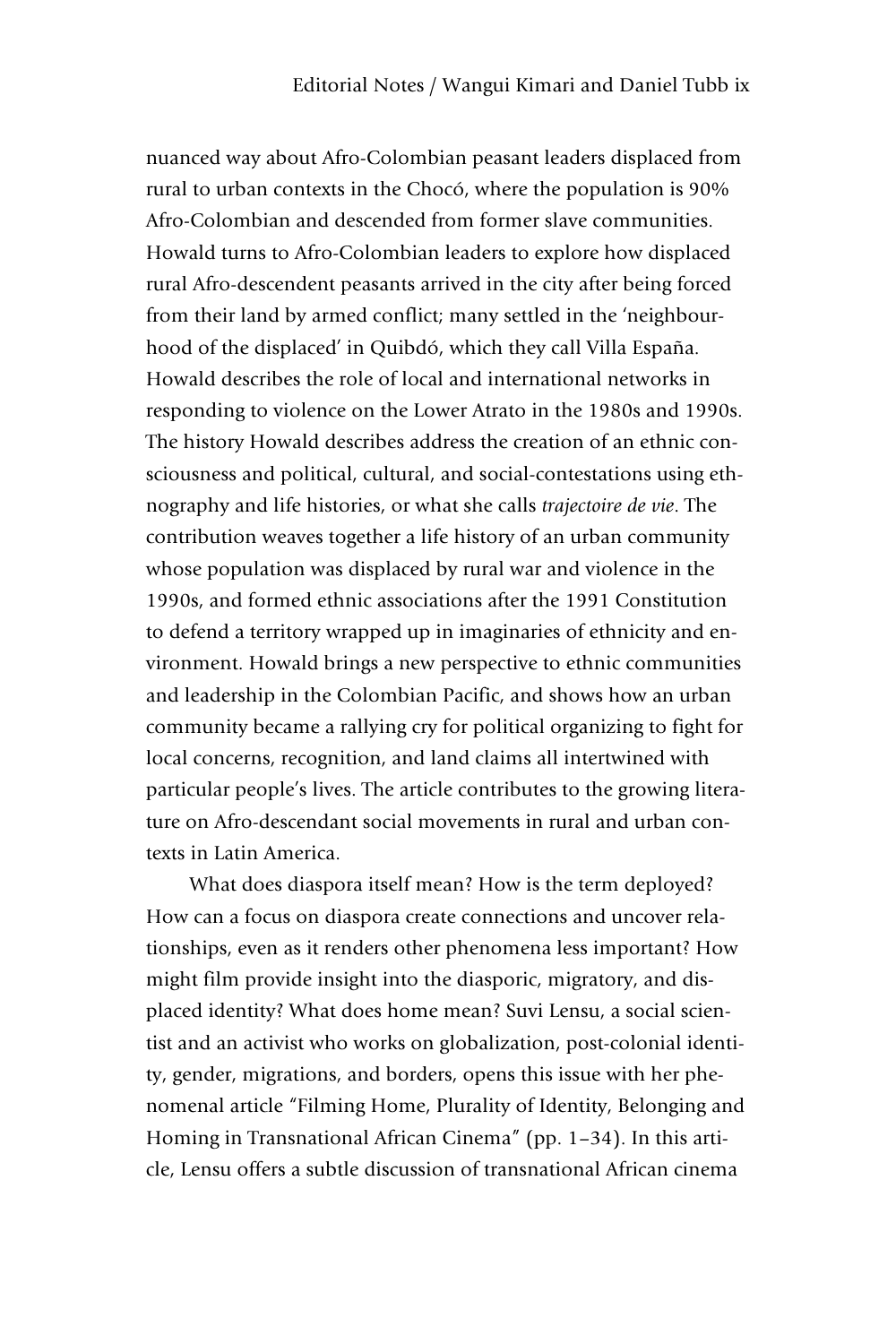nuanced way about Afro-Colombian peasant leaders displaced from rural to urban contexts in the Chocó, where the population is 90% Afro-Colombian and descended from former slave communities. Howald turns to Afro-Colombian leaders to explore how displaced rural Afro-descendent peasants arrived in the city after being forced from their land by armed conflict; many settled in the 'neighbourhood of the displaced' in Quibdó, which they call Villa España. Howald describes the role of local and international networks in responding to violence on the Lower Atrato in the 1980s and 1990s. The history Howald describes address the creation of an ethnic consciousness and political, cultural, and social-contestations using ethnography and life histories, or what she calls *trajectoire de vie*. The contribution weaves together a life history of an urban community whose population was displaced by rural war and violence in the 1990s, and formed ethnic associations after the 1991 Constitution to defend a territory wrapped up in imaginaries of ethnicity and environment. Howald brings a new perspective to ethnic communities and leadership in the Colombian Pacific, and shows how an urban community became a rallying cry for political organizing to fight for local concerns, recognition, and land claims all intertwined with particular people's lives. The article contributes to the growing literature on Afro-descendant social movements in rural and urban contexts in Latin America.

What does diaspora itself mean? How is the term deployed? How can a focus on diaspora create connections and uncover relationships, even as it renders other phenomena less important? How might film provide insight into the diasporic, migratory, and displaced identity? What does home mean? Suvi Lensu, a social scientist and an activist who works on globalization, post-colonial identity, gender, migrations, and borders, opens this issue with her phenomenal article "Filming Home, Plurality of Identity, Belonging and Homing in Transnational African Cinema" (pp. 1–34). In this article, Lensu offers a subtle discussion of transnational African cinema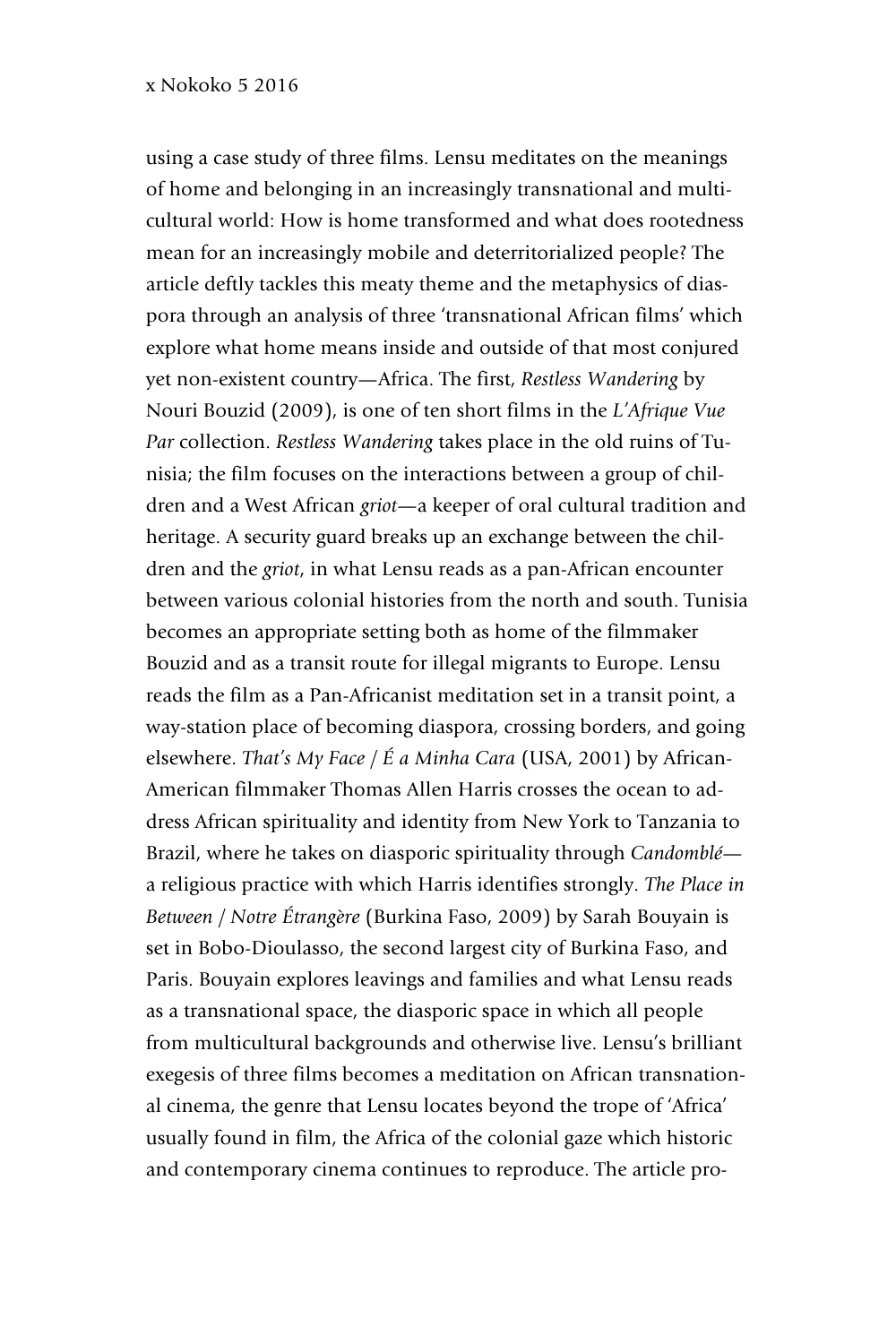using a case study of three films. Lensu meditates on the meanings of home and belonging in an increasingly transnational and multicultural world: How is home transformed and what does rootedness mean for an increasingly mobile and deterritorialized people? The article deftly tackles this meaty theme and the metaphysics of diaspora through an analysis of three 'transnational African films' which explore what home means inside and outside of that most conjured yet non-existent country—Africa. The first, *Restless Wandering* by Nouri Bouzid (2009), is one of ten short films in the *L'Afrique Vue Par* collection. *Restless Wandering* takes place in the old ruins of Tunisia; the film focuses on the interactions between a group of children and a West African *griot*—a keeper of oral cultural tradition and heritage. A security guard breaks up an exchange between the children and the *griot*, in what Lensu reads as a pan-African encounter between various colonial histories from the north and south. Tunisia becomes an appropriate setting both as home of the filmmaker Bouzid and as a transit route for illegal migrants to Europe. Lensu reads the film as a Pan-Africanist meditation set in a transit point, a way-station place of becoming diaspora, crossing borders, and going elsewhere. *That's My Face / É a Minha Cara* (USA, 2001) by African-American filmmaker Thomas Allen Harris crosses the ocean to address African spirituality and identity from New York to Tanzania to Brazil, where he takes on diasporic spirituality through *Candomblé* a religious practice with which Harris identifies strongly. *The Place in Between / Notre Étrangère* (Burkina Faso, 2009) by Sarah Bouyain is set in Bobo-Dioulasso, the second largest city of Burkina Faso, and Paris. Bouyain explores leavings and families and what Lensu reads as a transnational space, the diasporic space in which all people from multicultural backgrounds and otherwise live. Lensu's brilliant exegesis of three films becomes a meditation on African transnational cinema, the genre that Lensu locates beyond the trope of 'Africa' usually found in film, the Africa of the colonial gaze which historic and contemporary cinema continues to reproduce. The article pro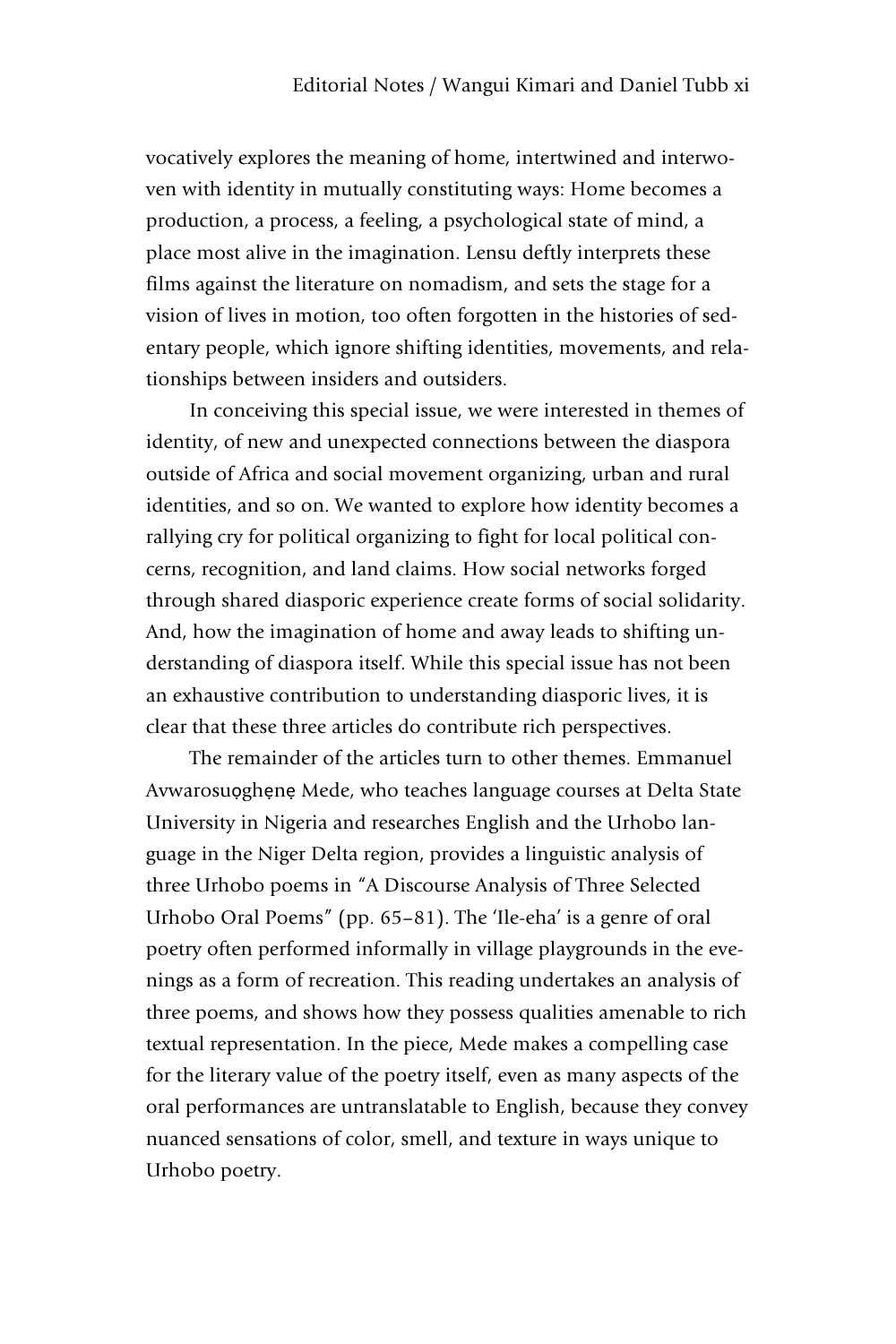vocatively explores the meaning of home, intertwined and interwoven with identity in mutually constituting ways: Home becomes a production, a process, a feeling, a psychological state of mind, a place most alive in the imagination. Lensu deftly interprets these films against the literature on nomadism, and sets the stage for a vision of lives in motion, too often forgotten in the histories of sedentary people, which ignore shifting identities, movements, and relationships between insiders and outsiders.

In conceiving this special issue, we were interested in themes of identity, of new and unexpected connections between the diaspora outside of Africa and social movement organizing, urban and rural identities, and so on. We wanted to explore how identity becomes a rallying cry for political organizing to fight for local political concerns, recognition, and land claims. How social networks forged through shared diasporic experience create forms of social solidarity. And, how the imagination of home and away leads to shifting understanding of diaspora itself. While this special issue has not been an exhaustive contribution to understanding diasporic lives, it is clear that these three articles do contribute rich perspectives.

The remainder of the articles turn to other themes. Emmanuel Avwarosuọghẹnẹ Mede, who teaches language courses at Delta State University in Nigeria and researches English and the Urhobo language in the Niger Delta region, provides a linguistic analysis of three Urhobo poems in "A Discourse Analysis of Three Selected Urhobo Oral Poems" (pp. 65–81). The 'Ile-eha' is a genre of oral poetry often performed informally in village playgrounds in the evenings as a form of recreation. This reading undertakes an analysis of three poems, and shows how they possess qualities amenable to rich textual representation. In the piece, Mede makes a compelling case for the literary value of the poetry itself, even as many aspects of the oral performances are untranslatable to English, because they convey nuanced sensations of color, smell, and texture in ways unique to Urhobo poetry.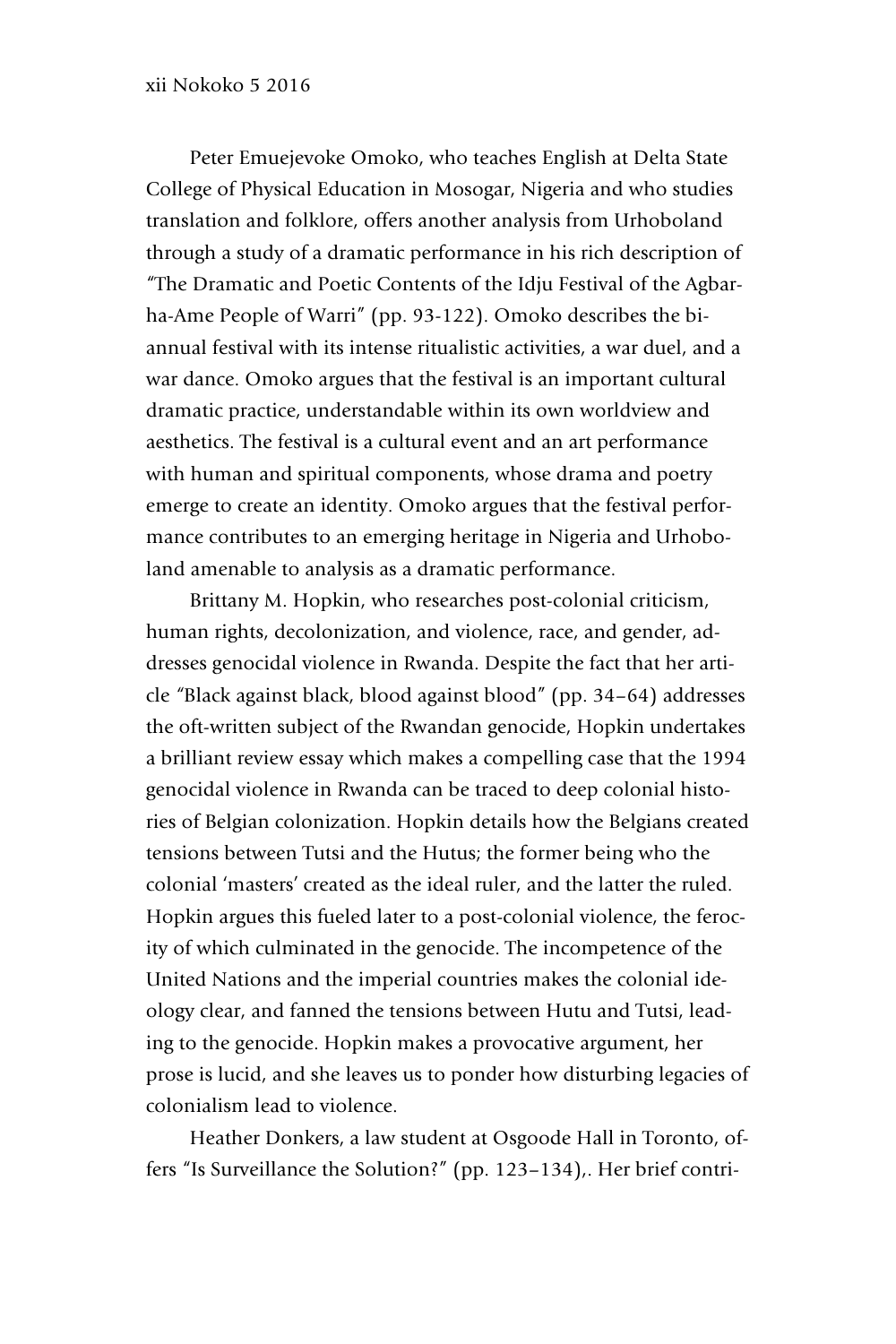Peter Emuejevoke Omoko, who teaches English at Delta State College of Physical Education in Mosogar, Nigeria and who studies translation and folklore, offers another analysis from Urhoboland through a study of a dramatic performance in his rich description of "The Dramatic and Poetic Contents of the Idju Festival of the Agbarha-Ame People of Warri" (pp. 93-122). Omoko describes the biannual festival with its intense ritualistic activities, a war duel, and a war dance. Omoko argues that the festival is an important cultural dramatic practice, understandable within its own worldview and aesthetics. The festival is a cultural event and an art performance with human and spiritual components, whose drama and poetry emerge to create an identity. Omoko argues that the festival performance contributes to an emerging heritage in Nigeria and Urhoboland amenable to analysis as a dramatic performance.

Brittany M. Hopkin, who researches post-colonial criticism, human rights, decolonization, and violence, race, and gender, addresses genocidal violence in Rwanda. Despite the fact that her article *"*Black against black, blood against blood" (pp. 34–64) addresses the oft-written subject of the Rwandan genocide, Hopkin undertakes a brilliant review essay which makes a compelling case that the 1994 genocidal violence in Rwanda can be traced to deep colonial histories of Belgian colonization. Hopkin details how the Belgians created tensions between Tutsi and the Hutus; the former being who the colonial 'masters' created as the ideal ruler, and the latter the ruled. Hopkin argues this fueled later to a post-colonial violence, the ferocity of which culminated in the genocide. The incompetence of the United Nations and the imperial countries makes the colonial ideology clear, and fanned the tensions between Hutu and Tutsi, leading to the genocide. Hopkin makes a provocative argument, her prose is lucid, and she leaves us to ponder how disturbing legacies of colonialism lead to violence.

Heather Donkers, a law student at Osgoode Hall in Toronto, offers "Is Surveillance the Solution?" (pp. 123–134),. Her brief contri